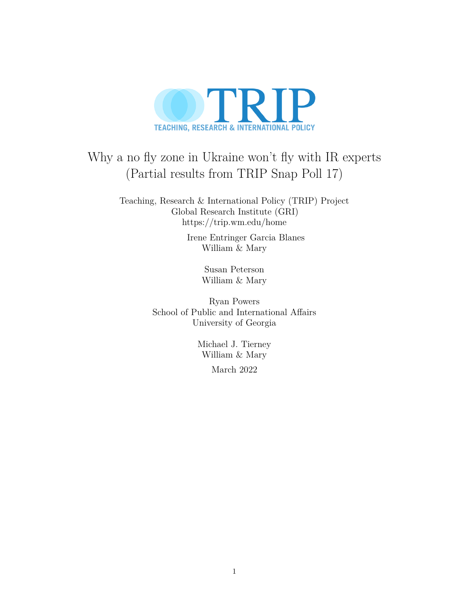

# Why a no fly zone in Ukraine won't fly with IR experts (Partial results from TRIP Snap Poll 17)

Teaching, Research & International Policy (TRIP) Project Global Research Institute (GRI) <https://trip.wm.edu/home>

> Irene Entringer Garcia Blanes William & Mary

> > Susan Peterson William & Mary

Ryan Powers School of Public and International Affairs University of Georgia

> Michael J. Tierney William & Mary March 2022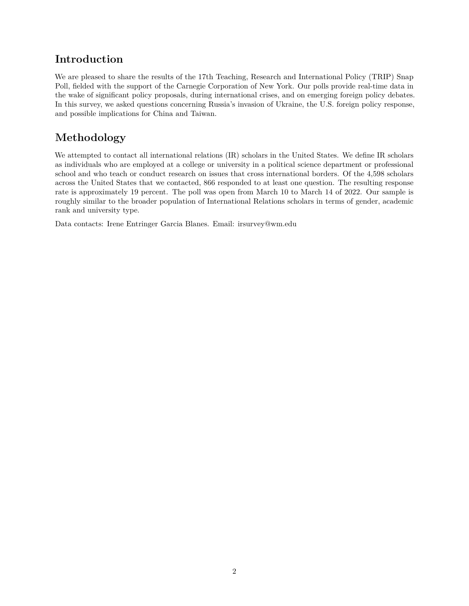### **Introduction**

We are pleased to share the results of the 17th Teaching, Research and International Policy (TRIP) Snap Poll, fielded with the support of the Carnegie Corporation of New York. Our polls provide real-time data in the wake of significant policy proposals, during international crises, and on emerging foreign policy debates. In this survey, we asked questions concerning Russia's invasion of Ukraine, the U.S. foreign policy response, and possible implications for China and Taiwan.

## **Methodology**

We attempted to contact all international relations (IR) scholars in the United States. We define IR scholars as individuals who are employed at a college or university in a political science department or professional school and who teach or conduct research on issues that cross international borders. Of the 4,598 scholars across the United States that we contacted, 866 responded to at least one question. The resulting response rate is approximately 19 percent. The poll was open from March 10 to March 14 of 2022. Our sample is roughly similar to the broader population of International Relations scholars in terms of gender, academic rank and university type.

Data contacts: Irene Entringer Garcia Blanes. Email: [irsurvey@wm.edu](mailto:irsurvey@wm.edu)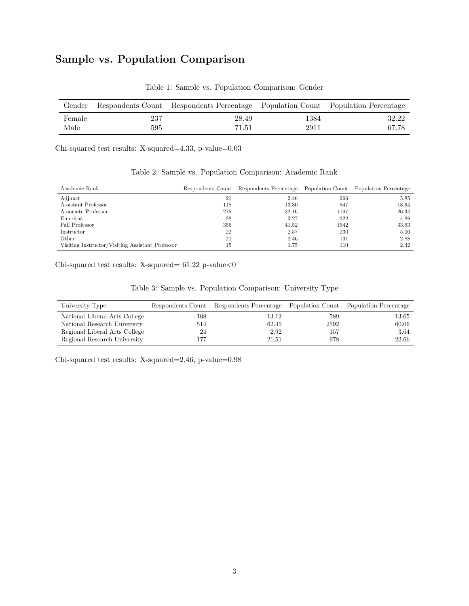## **Sample vs. Population Comparison**

| Gender |     | Respondents Count Respondents Percentage Population Count Population Percentage |      |       |
|--------|-----|---------------------------------------------------------------------------------|------|-------|
| Female | 237 | 28.49                                                                           | 1384 | 32.22 |
| Male   | 595 | 71.51                                                                           | 2911 | 67.78 |

Table 1: Sample vs. Population Comparison: Gender

Chi-squared test results: X-squared=4.33, p-value=0.03

| Academic Rank                                    |     | Respondents Count Respondents Percentage Population Count Population Percentage |      |       |
|--------------------------------------------------|-----|---------------------------------------------------------------------------------|------|-------|
| Adjunct                                          | 21  | 2.46                                                                            | 266  | 5.85  |
| Assistant Professor                              | 118 | 13.80                                                                           | 847  | 18.64 |
| Associate Professor                              | 275 | 32.16                                                                           | 1197 | 26.34 |
| Emeritus                                         | 28  | 3.27                                                                            | 222  | 4.88  |
| Full Professor                                   | 355 | 41.52                                                                           | 1542 | 33.93 |
| Instructor                                       | 22  | 2.57                                                                            | 230  | 5.06  |
| Other                                            | 21  | 2.46                                                                            | 131  | 2.88  |
| Visiting Instructor/Visiting Assistant Professor | 15  | 1.75                                                                            | 110  | 2.42  |

Table 2: Sample vs. Population Comparison: Academic Rank

<code>Chi-squared</code> test results: X-squared=  $61.22$  <code>p-value</code><br/> $<\!\!0$ 

| Table 3: Sample vs. Population Comparison: University Type |  |  |  |  |
|------------------------------------------------------------|--|--|--|--|
|------------------------------------------------------------|--|--|--|--|

| University Type               |         | Respondents Count Respondents Percentage Population Count Population Percentage |      |       |
|-------------------------------|---------|---------------------------------------------------------------------------------|------|-------|
| National Liberal Arts College | $108\,$ | 13.12                                                                           | 589  | 13.65 |
| National Research University  | 514     | 62.45                                                                           | 2592 | 60.06 |
| Regional Liberal Arts College | 24      | 2.92                                                                            | 157  | 3.64  |
| Regional Research University  | 177     | 21.51                                                                           | 978  | 22.66 |

Chi-squared test results: X-squared=2.46, p-value=0.98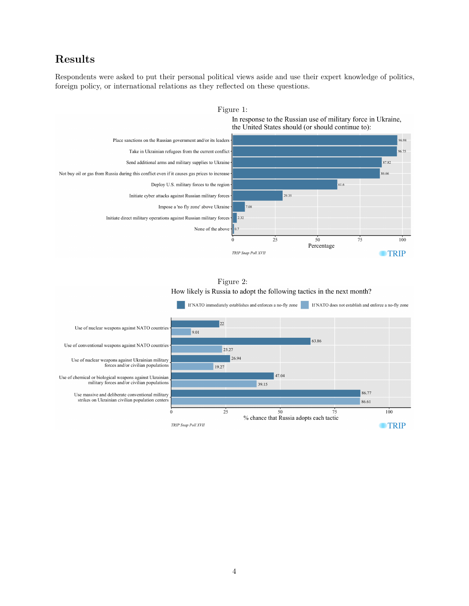### **Results**

Respondents were asked to put their personal political views aside and use their expert knowledge of politics, foreign policy, or international relations as they reflected on these questions.



Figure 1:

In response to the Russian use of military force in Ukraine, the United States should (or should continue to):

Figure 2: How likely is Russia to adopt the following tactics in the next month?

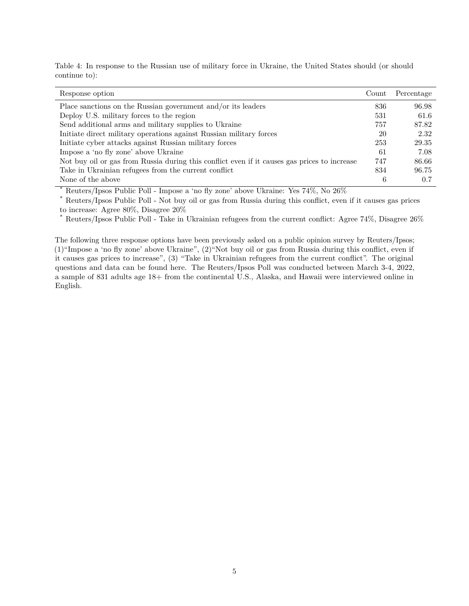Table 4: In response to the Russian use of military force in Ukraine, the United States should (or should continue to):

| Response option                                                                              | Count | Percentage |
|----------------------------------------------------------------------------------------------|-------|------------|
| Place sanctions on the Russian government and/or its leaders                                 | 836   | 96.98      |
| Deploy U.S. military forces to the region                                                    | 531   | 61.6       |
| Send additional arms and military supplies to Ukraine                                        | 757   | 87.82      |
| Initiate direct military operations against Russian military forces                          | 20    | 2.32       |
| Initiate cyber attacks against Russian military forces                                       | 253   | 29.35      |
| Impose a 'no fly zone' above Ukraine                                                         | -61   | 7.08       |
| Not buy oil or gas from Russia during this conflict even if it causes gas prices to increase | 747   | 86.66      |
| Take in Ukrainian refugees from the current conflict                                         | 834   | 96.75      |
| None of the above                                                                            | 6     | 0.7        |

\* Reuters/Ipsos Public Poll - Impose a 'no fly zone' above Ukraine: Yes 74%, No 26%

\* Reuters/Ipsos Public Poll - Not buy oil or gas from Russia during this conflict, even if it causes gas prices to increase: Agree 80%, Disagree 20%

Reuters/Ipsos Public Poll - Take in Ukrainian refugees from the current conflict: Agree 74%, Disagree 26%

The following three response options have been previously asked on a public opinion survey by Reuters/Ipsos; (1)"Impose a 'no fly zone' above Ukraine", (2)"Not buy oil or gas from Russia during this conflict, even if it causes gas prices to increase", (3) "Take in Ukrainian refugees from the current conflict". The original questions and data can be found [here.](https://www.ipsos.com/sites/default/files/ct/news/documents/2022-03/Reuters%20Ipsos%20Ukraine%20W3%20Trended%20Topline%20030422_0.pdf) The Reuters/Ipsos Poll was conducted between March 3-4, 2022, a sample of 831 adults age 18+ from the continental U.S., Alaska, and Hawaii were interviewed online in English.